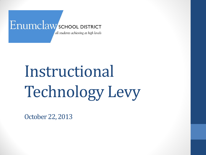#### Enumclaw SCHOOL DISTRICT all students achieving at high levels

Instructional Technology Levy

October 22, 2013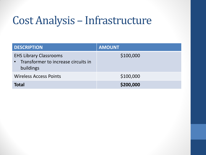## Cost Analysis – Infrastructure

| <b>DESCRIPTION</b>                                                                  | <b>AMOUNT</b> |
|-------------------------------------------------------------------------------------|---------------|
| <b>EHS Library Classrooms</b><br>• Transformer to increase circuits in<br>buildings | \$100,000     |
| <b>Wireless Access Points</b>                                                       | \$100,000     |
| <b>Total</b>                                                                        | \$200,000     |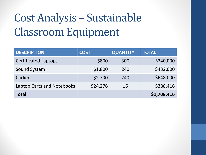# Cost Analysis – Sustainable Classroom Equipment

| <b>DESCRIPTION</b>                | <b>COST</b> | <b>QUANTITY</b> | <b>TOTAL</b> |
|-----------------------------------|-------------|-----------------|--------------|
| <b>Certificated Laptops</b>       | \$800       | 300             | \$240,000    |
| Sound System                      | \$1,800     | 240             | \$432,000    |
| <b>Clickers</b>                   | \$2,700     | 240             | \$648,000    |
| <b>Laptop Carts and Notebooks</b> | \$24,276    | 16              | \$388,416    |
| <b>Total</b>                      |             |                 | \$1,708,416  |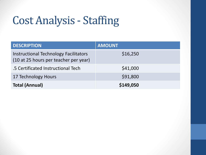## Cost Analysis - Staffing

| <b>DESCRIPTION</b>                                                             | <b>AMOUNT</b> |
|--------------------------------------------------------------------------------|---------------|
| Instructional Technology Facilitators<br>(10 at 25 hours per teacher per year) | \$16,250      |
| .5 Certificated Instructional Tech                                             | \$41,000      |
| 17 Technology Hours                                                            | \$91,800      |
| <b>Total (Annual)</b>                                                          | \$149,050     |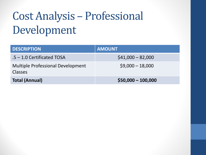# Cost Analysis – Professional Development

| <b>DESCRIPTION</b>                                         | <b>AMOUNT</b>       |
|------------------------------------------------------------|---------------------|
| .5 - 1.0 Certificated TOSA                                 | $$41,000 - 82,000$  |
| <b>Multiple Professional Development</b><br><b>Classes</b> | $$9,000 - 18,000$   |
| <b>Total (Annual)</b>                                      | $$50,000 - 100,000$ |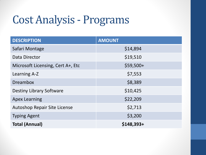## Cost Analysis - Programs

| <b>DESCRIPTION</b>                  | <b>AMOUNT</b> |
|-------------------------------------|---------------|
| Safari Montage                      | \$14,894      |
| Data Director                       | \$19,510      |
| Microsoft Licensing, Cert A+, Etc   | $$59,500+$    |
| Learning A-Z                        | \$7,553       |
| <b>Dreambox</b>                     | \$8,389       |
| <b>Destiny Library Software</b>     | \$10,425      |
| <b>Apex Learning</b>                | \$22,209      |
| <b>Autoshop Repair Site License</b> | \$2,713       |
| <b>Typing Agent</b>                 | \$3,200       |
| <b>Total (Annual)</b>               | $$148,393+$   |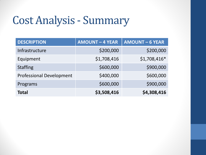## Cost Analysis - Summary

| <b>DESCRIPTION</b>              | <b>AMOUNT - 4 YEAR</b> | <b>AMOUNT - 6 YEAR</b> |
|---------------------------------|------------------------|------------------------|
| Infrastructure                  | \$200,000              | \$200,000              |
| Equipment                       | \$1,708,416            | \$1,708,416*           |
| <b>Staffing</b>                 | \$600,000              | \$900,000              |
| <b>Professional Development</b> | \$400,000              | \$600,000              |
| Programs                        | \$600,000              | \$900,000              |
| Total                           | \$3,508,416            | \$4,308,416            |